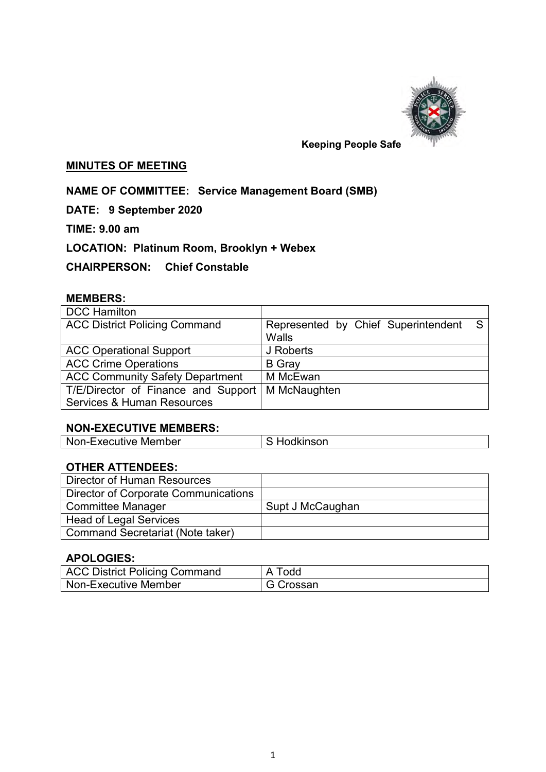

## **Keeping People Safe**

#### **MINUTES OF MEETING**

**NAME OF COMMITTEE: Service Management Board (SMB)**

**DATE: 9 September 2020** 

**TIME: 9.00 am**

**LOCATION: Platinum Room, Brooklyn + Webex** 

**CHAIRPERSON: Chief Constable** 

### **MEMBERS:**

| <b>DCC Hamilton</b>                    |                                       |
|----------------------------------------|---------------------------------------|
| <b>ACC District Policing Command</b>   | Represented by Chief Superintendent S |
|                                        | Walls                                 |
| <b>ACC Operational Support</b>         | J Roberts                             |
| <b>ACC Crime Operations</b>            | <b>B</b> Gray                         |
| <b>ACC Community Safety Department</b> | M McEwan                              |
| T/E/Director of Finance and Support    | M McNaughten                          |
| <b>Services &amp; Human Resources</b>  |                                       |

### **NON-EXECUTIVE MEMBERS:**

| Non-Executive Member | S Hodkinson |
|----------------------|-------------|
|----------------------|-------------|

## **OTHER ATTENDEES:**

| <b>Director of Human Resources</b>   |                  |
|--------------------------------------|------------------|
| Director of Corporate Communications |                  |
| <b>Committee Manager</b>             | Supt J McCaughan |
| <b>Head of Legal Services</b>        |                  |
| Command Secretariat (Note taker)     |                  |

## **APOLOGIES:**

| ACC District Policing Command | A Todd    |
|-------------------------------|-----------|
| Non-Executive Member          | G Crossan |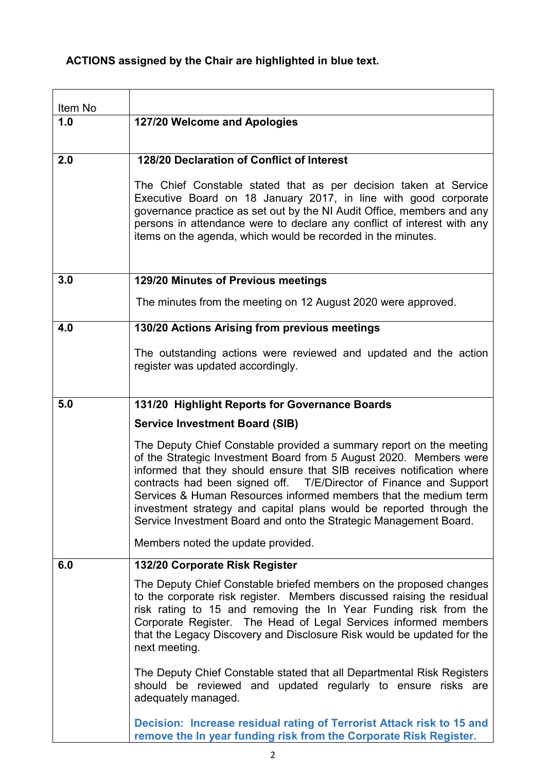# **ACTIONS assigned by the Chair are highlighted in blue text.**

| Item No |                                                                                                                                                                                                                                                                                                                                                                                                                                                                                                          |
|---------|----------------------------------------------------------------------------------------------------------------------------------------------------------------------------------------------------------------------------------------------------------------------------------------------------------------------------------------------------------------------------------------------------------------------------------------------------------------------------------------------------------|
| 1.0     | 127/20 Welcome and Apologies                                                                                                                                                                                                                                                                                                                                                                                                                                                                             |
|         |                                                                                                                                                                                                                                                                                                                                                                                                                                                                                                          |
| 2.0     | 128/20 Declaration of Conflict of Interest                                                                                                                                                                                                                                                                                                                                                                                                                                                               |
|         | The Chief Constable stated that as per decision taken at Service<br>Executive Board on 18 January 2017, in line with good corporate<br>governance practice as set out by the NI Audit Office, members and any<br>persons in attendance were to declare any conflict of interest with any<br>items on the agenda, which would be recorded in the minutes.                                                                                                                                                 |
| 3.0     | 129/20 Minutes of Previous meetings                                                                                                                                                                                                                                                                                                                                                                                                                                                                      |
|         | The minutes from the meeting on 12 August 2020 were approved.                                                                                                                                                                                                                                                                                                                                                                                                                                            |
| 4.0     | 130/20 Actions Arising from previous meetings                                                                                                                                                                                                                                                                                                                                                                                                                                                            |
|         | The outstanding actions were reviewed and updated and the action<br>register was updated accordingly.                                                                                                                                                                                                                                                                                                                                                                                                    |
| 5.0     | 131/20 Highlight Reports for Governance Boards                                                                                                                                                                                                                                                                                                                                                                                                                                                           |
|         | <b>Service Investment Board (SIB)</b>                                                                                                                                                                                                                                                                                                                                                                                                                                                                    |
|         | The Deputy Chief Constable provided a summary report on the meeting<br>of the Strategic Investment Board from 5 August 2020. Members were<br>informed that they should ensure that SIB receives notification where<br>contracts had been signed off. T/E/Director of Finance and Support<br>Services & Human Resources informed members that the medium term<br>investment strategy and capital plans would be reported through the<br>Service Investment Board and onto the Strategic Management Board. |
|         | Members noted the update provided.                                                                                                                                                                                                                                                                                                                                                                                                                                                                       |
| 6.0     | 132/20 Corporate Risk Register                                                                                                                                                                                                                                                                                                                                                                                                                                                                           |
|         | The Deputy Chief Constable briefed members on the proposed changes<br>to the corporate risk register. Members discussed raising the residual<br>risk rating to 15 and removing the In Year Funding risk from the<br>Corporate Register. The Head of Legal Services informed members<br>that the Legacy Discovery and Disclosure Risk would be updated for the<br>next meeting.                                                                                                                           |
|         | The Deputy Chief Constable stated that all Departmental Risk Registers<br>should be reviewed and updated regularly to ensure risks are<br>adequately managed.                                                                                                                                                                                                                                                                                                                                            |
|         | Decision: Increase residual rating of Terrorist Attack risk to 15 and<br>remove the In year funding risk from the Corporate Risk Register.                                                                                                                                                                                                                                                                                                                                                               |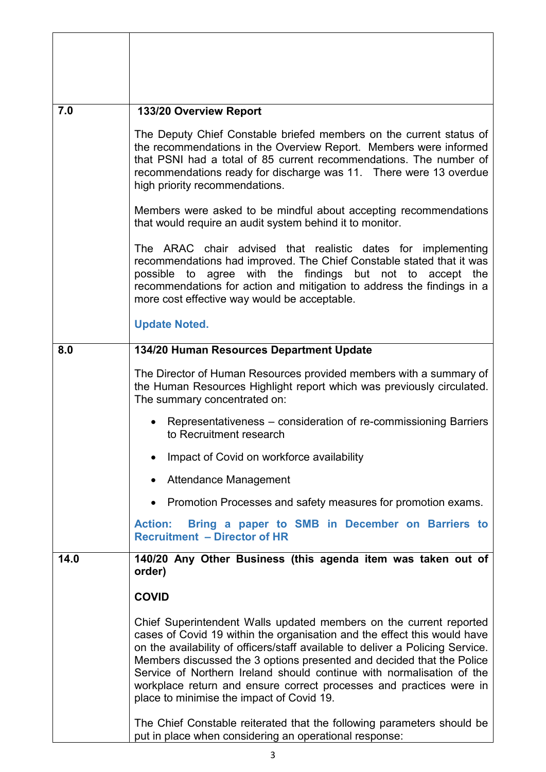| 7.0  | 133/20 Overview Report                                                                                                                                                                                                                                                                                                                                                                                                                                                                                 |
|------|--------------------------------------------------------------------------------------------------------------------------------------------------------------------------------------------------------------------------------------------------------------------------------------------------------------------------------------------------------------------------------------------------------------------------------------------------------------------------------------------------------|
|      | The Deputy Chief Constable briefed members on the current status of<br>the recommendations in the Overview Report. Members were informed<br>that PSNI had a total of 85 current recommendations. The number of<br>recommendations ready for discharge was 11. There were 13 overdue<br>high priority recommendations.                                                                                                                                                                                  |
|      | Members were asked to be mindful about accepting recommendations<br>that would require an audit system behind it to monitor.                                                                                                                                                                                                                                                                                                                                                                           |
|      | The ARAC chair advised that realistic dates for implementing<br>recommendations had improved. The Chief Constable stated that it was<br>agree with the findings but not to<br>possible<br>the<br>accept<br>to<br>recommendations for action and mitigation to address the findings in a<br>more cost effective way would be acceptable.                                                                                                                                                                |
|      | <b>Update Noted.</b>                                                                                                                                                                                                                                                                                                                                                                                                                                                                                   |
| 8.0  | 134/20 Human Resources Department Update                                                                                                                                                                                                                                                                                                                                                                                                                                                               |
|      | The Director of Human Resources provided members with a summary of<br>the Human Resources Highlight report which was previously circulated.<br>The summary concentrated on:                                                                                                                                                                                                                                                                                                                            |
|      | Representativeness – consideration of re-commissioning Barriers<br>to Recruitment research                                                                                                                                                                                                                                                                                                                                                                                                             |
|      | Impact of Covid on workforce availability                                                                                                                                                                                                                                                                                                                                                                                                                                                              |
|      | <b>Attendance Management</b>                                                                                                                                                                                                                                                                                                                                                                                                                                                                           |
|      | Promotion Processes and safety measures for promotion exams.                                                                                                                                                                                                                                                                                                                                                                                                                                           |
|      | <b>Action:</b><br>Bring a paper to SMB in December on Barriers to<br><b>Recruitment - Director of HR</b>                                                                                                                                                                                                                                                                                                                                                                                               |
| 14.0 | 140/20 Any Other Business (this agenda item was taken out of<br>order)                                                                                                                                                                                                                                                                                                                                                                                                                                 |
|      | <b>COVID</b>                                                                                                                                                                                                                                                                                                                                                                                                                                                                                           |
|      | Chief Superintendent Walls updated members on the current reported<br>cases of Covid 19 within the organisation and the effect this would have<br>on the availability of officers/staff available to deliver a Policing Service.<br>Members discussed the 3 options presented and decided that the Police<br>Service of Northern Ireland should continue with normalisation of the<br>workplace return and ensure correct processes and practices were in<br>place to minimise the impact of Covid 19. |
|      | The Chief Constable reiterated that the following parameters should be<br>put in place when considering an operational response:                                                                                                                                                                                                                                                                                                                                                                       |

 $\overline{\phantom{a}}$ 

T

٦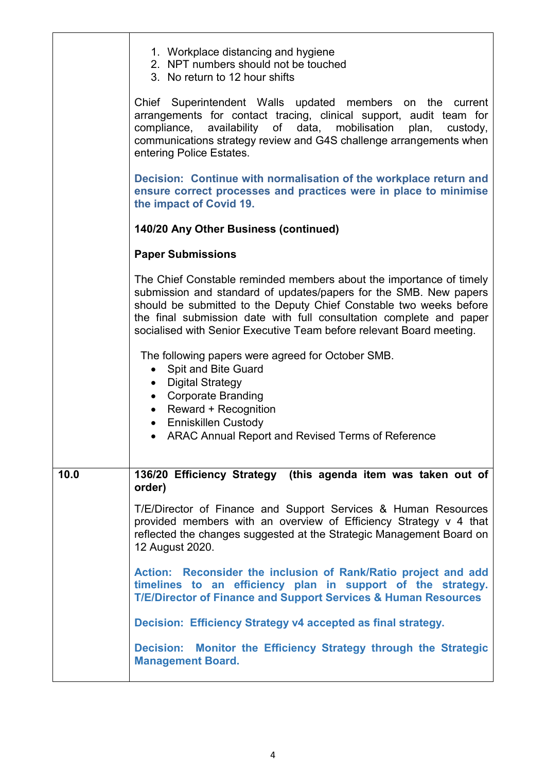|      | 1. Workplace distancing and hygiene<br>2. NPT numbers should not be touched<br>3. No return to 12 hour shifts                                                                                                                                                                                                                                                 |
|------|---------------------------------------------------------------------------------------------------------------------------------------------------------------------------------------------------------------------------------------------------------------------------------------------------------------------------------------------------------------|
|      | Chief Superintendent Walls updated members on the<br>current<br>arrangements for contact tracing, clinical support, audit team for<br>compliance, availability of data, mobilisation<br>plan,<br>custody,<br>communications strategy review and G4S challenge arrangements when<br>entering Police Estates.                                                   |
|      | Decision: Continue with normalisation of the workplace return and<br>ensure correct processes and practices were in place to minimise<br>the impact of Covid 19.                                                                                                                                                                                              |
|      | 140/20 Any Other Business (continued)                                                                                                                                                                                                                                                                                                                         |
|      | <b>Paper Submissions</b>                                                                                                                                                                                                                                                                                                                                      |
|      | The Chief Constable reminded members about the importance of timely<br>submission and standard of updates/papers for the SMB. New papers<br>should be submitted to the Deputy Chief Constable two weeks before<br>the final submission date with full consultation complete and paper<br>socialised with Senior Executive Team before relevant Board meeting. |
|      | The following papers were agreed for October SMB.<br>Spit and Bite Guard<br>• Digital Strategy<br>• Corporate Branding<br>• Reward + Recognition<br>• Enniskillen Custody<br>• ARAC Annual Report and Revised Terms of Reference                                                                                                                              |
| 10.0 | 136/20 Efficiency Strategy (this agenda item was taken out of<br>order)                                                                                                                                                                                                                                                                                       |
|      | T/E/Director of Finance and Support Services & Human Resources<br>provided members with an overview of Efficiency Strategy v 4 that<br>reflected the changes suggested at the Strategic Management Board on<br>12 August 2020.                                                                                                                                |
|      | Action: Reconsider the inclusion of Rank/Ratio project and add<br>timelines to an efficiency plan in support of the strategy.<br><b>T/E/Director of Finance and Support Services &amp; Human Resources</b>                                                                                                                                                    |
|      | Decision: Efficiency Strategy v4 accepted as final strategy.                                                                                                                                                                                                                                                                                                  |
|      | Decision: Monitor the Efficiency Strategy through the Strategic<br><b>Management Board.</b>                                                                                                                                                                                                                                                                   |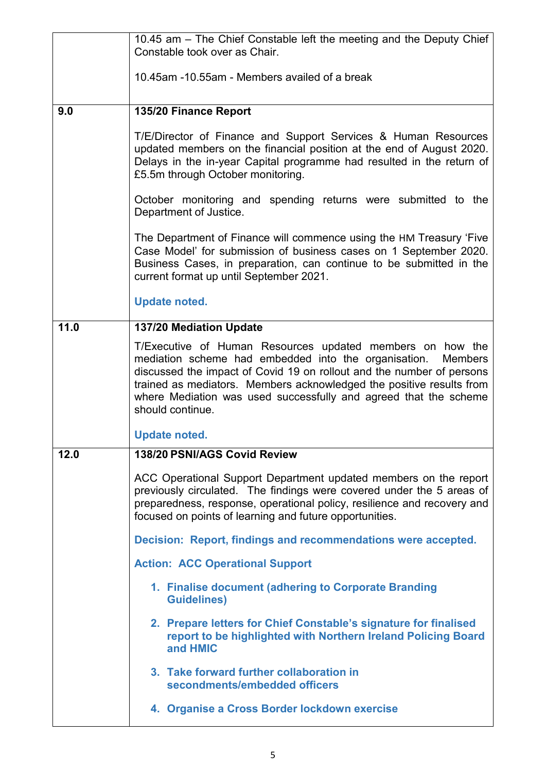|      | 10.45 am – The Chief Constable left the meeting and the Deputy Chief<br>Constable took over as Chair.                                                                                                                                                                                                                                                                        |
|------|------------------------------------------------------------------------------------------------------------------------------------------------------------------------------------------------------------------------------------------------------------------------------------------------------------------------------------------------------------------------------|
|      | 10.45am -10.55am - Members availed of a break                                                                                                                                                                                                                                                                                                                                |
|      |                                                                                                                                                                                                                                                                                                                                                                              |
| 9.0  | 135/20 Finance Report                                                                                                                                                                                                                                                                                                                                                        |
|      | T/E/Director of Finance and Support Services & Human Resources<br>updated members on the financial position at the end of August 2020.<br>Delays in the in-year Capital programme had resulted in the return of<br>£5.5m through October monitoring.                                                                                                                         |
|      | October monitoring and spending returns were submitted to the<br>Department of Justice.                                                                                                                                                                                                                                                                                      |
|      | The Department of Finance will commence using the HM Treasury 'Five<br>Case Model' for submission of business cases on 1 September 2020.<br>Business Cases, in preparation, can continue to be submitted in the<br>current format up until September 2021.                                                                                                                   |
|      | <b>Update noted.</b>                                                                                                                                                                                                                                                                                                                                                         |
| 11.0 | <b>137/20 Mediation Update</b>                                                                                                                                                                                                                                                                                                                                               |
|      | T/Executive of Human Resources updated members on how the<br>mediation scheme had embedded into the organisation.<br><b>Members</b><br>discussed the impact of Covid 19 on rollout and the number of persons<br>trained as mediators. Members acknowledged the positive results from<br>where Mediation was used successfully and agreed that the scheme<br>should continue. |
|      | <b>Update noted.</b>                                                                                                                                                                                                                                                                                                                                                         |
| 12.0 | 138/20 PSNI/AGS Covid Review                                                                                                                                                                                                                                                                                                                                                 |
|      | ACC Operational Support Department updated members on the report<br>previously circulated. The findings were covered under the 5 areas of<br>preparedness, response, operational policy, resilience and recovery and<br>focused on points of learning and future opportunities.                                                                                              |
|      | Decision: Report, findings and recommendations were accepted.                                                                                                                                                                                                                                                                                                                |
|      | <b>Action: ACC Operational Support</b>                                                                                                                                                                                                                                                                                                                                       |
|      | 1. Finalise document (adhering to Corporate Branding<br><b>Guidelines)</b>                                                                                                                                                                                                                                                                                                   |
|      | 2. Prepare letters for Chief Constable's signature for finalised<br>report to be highlighted with Northern Ireland Policing Board<br>and HMIC                                                                                                                                                                                                                                |
|      | 3. Take forward further collaboration in<br>secondments/embedded officers                                                                                                                                                                                                                                                                                                    |
|      | 4. Organise a Cross Border lockdown exercise                                                                                                                                                                                                                                                                                                                                 |